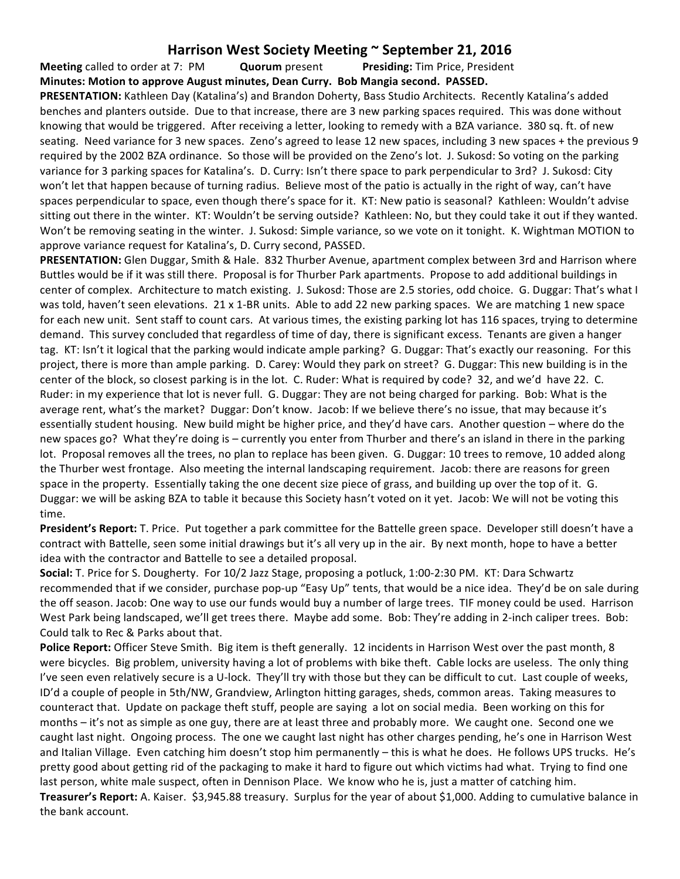## **Harrison West Society Meeting ~ September 21, 2016**

**Meeting** called to order at 7: PM **Quorum** present **Presiding:** Tim Price, President **Minutes: Motion to approve August minutes, Dean Curry. Bob Mangia second. PASSED.**

**PRESENTATION:** Kathleen Day (Katalina's) and Brandon Doherty, Bass Studio Architects. Recently Katalina's added benches and planters outside. Due to that increase, there are 3 new parking spaces required. This was done without knowing that would be triggered. After receiving a letter, looking to remedy with a BZA variance. 380 sq. ft. of new seating. Need variance for 3 new spaces. Zeno's agreed to lease 12 new spaces, including 3 new spaces + the previous 9 required by the 2002 BZA ordinance. So those will be provided on the Zeno's lot. J. Sukosd: So voting on the parking variance for 3 parking spaces for Katalina's. D. Curry: Isn't there space to park perpendicular to 3rd? J. Sukosd: City won't let that happen because of turning radius. Believe most of the patio is actually in the right of way, can't have spaces perpendicular to space, even though there's space for it. KT: New patio is seasonal? Kathleen: Wouldn't advise sitting out there in the winter. KT: Wouldn't be serving outside? Kathleen: No, but they could take it out if they wanted. Won't be removing seating in the winter. J. Sukosd: Simple variance, so we vote on it tonight. K. Wightman MOTION to approve variance request for Katalina's, D. Curry second, PASSED.

**PRESENTATION:** Glen Duggar, Smith & Hale. 832 Thurber Avenue, apartment complex between 3rd and Harrison where Buttles would be if it was still there. Proposal is for Thurber Park apartments. Propose to add additional buildings in center of complex. Architecture to match existing. J. Sukosd: Those are 2.5 stories, odd choice. G. Duggar: That's what I was told, haven't seen elevations. 21 x 1-BR units. Able to add 22 new parking spaces. We are matching 1 new space for each new unit. Sent staff to count cars. At various times, the existing parking lot has 116 spaces, trying to determine demand. This survey concluded that regardless of time of day, there is significant excess. Tenants are given a hanger tag. KT: Isn't it logical that the parking would indicate ample parking? G. Duggar: That's exactly our reasoning. For this project, there is more than ample parking. D. Carey: Would they park on street? G. Duggar: This new building is in the center of the block, so closest parking is in the lot. C. Ruder: What is required by code? 32, and we'd have 22. C. Ruder: in my experience that lot is never full. G. Duggar: They are not being charged for parking. Bob: What is the average rent, what's the market? Duggar: Don't know. Jacob: If we believe there's no issue, that may because it's essentially student housing. New build might be higher price, and they'd have cars. Another question – where do the new spaces go? What they're doing is – currently you enter from Thurber and there's an island in there in the parking lot. Proposal removes all the trees, no plan to replace has been given. G. Duggar: 10 trees to remove, 10 added along the Thurber west frontage. Also meeting the internal landscaping requirement. Jacob: there are reasons for green space in the property. Essentially taking the one decent size piece of grass, and building up over the top of it. G. Duggar: we will be asking BZA to table it because this Society hasn't voted on it yet. Jacob: We will not be voting this time.

**President's Report:** T. Price. Put together a park committee for the Battelle green space. Developer still doesn't have a contract with Battelle, seen some initial drawings but it's all very up in the air. By next month, hope to have a better idea with the contractor and Battelle to see a detailed proposal.

**Social:** T. Price for S. Dougherty. For 10/2 Jazz Stage, proposing a potluck, 1:00-2:30 PM. KT: Dara Schwartz recommended that if we consider, purchase pop-up "Easy Up" tents, that would be a nice idea. They'd be on sale during the off season. Jacob: One way to use our funds would buy a number of large trees. TIF money could be used. Harrison West Park being landscaped, we'll get trees there. Maybe add some. Bob: They're adding in 2-inch caliper trees. Bob: Could talk to Rec & Parks about that.

**Police Report:** Officer Steve Smith. Big item is theft generally. 12 incidents in Harrison West over the past month, 8 were bicycles. Big problem, university having a lot of problems with bike theft. Cable locks are useless. The only thing I've seen even relatively secure is a U-lock. They'll try with those but they can be difficult to cut. Last couple of weeks, ID'd a couple of people in 5th/NW, Grandview, Arlington hitting garages, sheds, common areas. Taking measures to counteract that. Update on package theft stuff, people are saying a lot on social media. Been working on this for months – it's not as simple as one guy, there are at least three and probably more. We caught one. Second one we caught last night. Ongoing process. The one we caught last night has other charges pending, he's one in Harrison West and Italian Village. Even catching him doesn't stop him permanently – this is what he does. He follows UPS trucks. He's pretty good about getting rid of the packaging to make it hard to figure out which victims had what. Trying to find one last person, white male suspect, often in Dennison Place. We know who he is, just a matter of catching him. **Treasurer's Report:** A. Kaiser. \$3,945.88 treasury. Surplus for the year of about \$1,000. Adding to cumulative balance in the bank account.